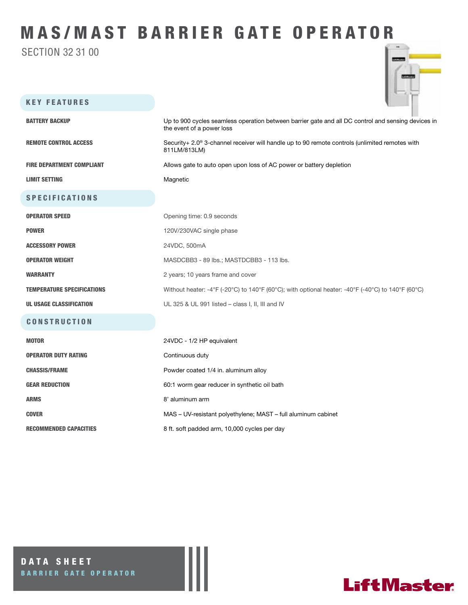## MAS/MAST BARRIER GATE OPERATOR

SECTION 32 31 00



| <b>KEY FEATURES</b>               |                                                                                                                                 |
|-----------------------------------|---------------------------------------------------------------------------------------------------------------------------------|
| <b>BATTERY BACKUP</b>             | Up to 900 cycles seamless operation between barrier gate and all DC control and sensing devices in<br>the event of a power loss |
| <b>REMOTE CONTROL ACCESS</b>      | Security+ 2.0 <sup>®</sup> 3-channel receiver will handle up to 90 remote controls (unlimited remotes with<br>811LM/813LM)      |
| <b>FIRE DEPARTMENT COMPLIANT</b>  | Allows gate to auto open upon loss of AC power or battery depletion                                                             |
| <b>LIMIT SETTING</b>              | Magnetic                                                                                                                        |
| <b>SPECIFICATIONS</b>             |                                                                                                                                 |
| <b>OPERATOR SPEED</b>             | Opening time: 0.9 seconds                                                                                                       |
| <b>POWER</b>                      | 120V/230VAC single phase                                                                                                        |
| <b>ACCESSORY POWER</b>            | 24VDC, 500mA                                                                                                                    |
| <b>OPERATOR WEIGHT</b>            | MASDCBB3 - 89 lbs.; MASTDCBB3 - 113 lbs.                                                                                        |
| <b>WARRANTY</b>                   | 2 years; 10 years frame and cover                                                                                               |
| <b>TEMPERATURE SPECIFICATIONS</b> | Without heater: -4°F (-20°C) to 140°F (60°C); with optional heater: -40°F (-40°C) to 140°F (60°C)                               |
| <b>UL USAGE CLASSIFICATION</b>    | UL 325 & UL 991 listed - class I, II, III and IV                                                                                |
| <b>CONSTRUCTION</b>               |                                                                                                                                 |
| <b>MOTOR</b>                      | 24VDC - 1/2 HP equivalent                                                                                                       |
| <b>OPERATOR DUTY RATING</b>       | Continuous duty                                                                                                                 |
| <b>CHASSIS/FRAME</b>              | Powder coated 1/4 in. aluminum alloy                                                                                            |
| <b>GEAR REDUCTION</b>             | 60:1 worm gear reducer in synthetic oil bath                                                                                    |
| <b>ARMS</b>                       | 8' aluminum arm                                                                                                                 |
| <b>COVER</b>                      | MAS - UV-resistant polyethylene; MAST - full aluminum cabinet                                                                   |

RECOMMENDED CAPACITIES 8 ft. soft padded arm, 10,000 cycles per day

DATA SHEET BARRIER GATE OPERATOR

### **LiftMaster**